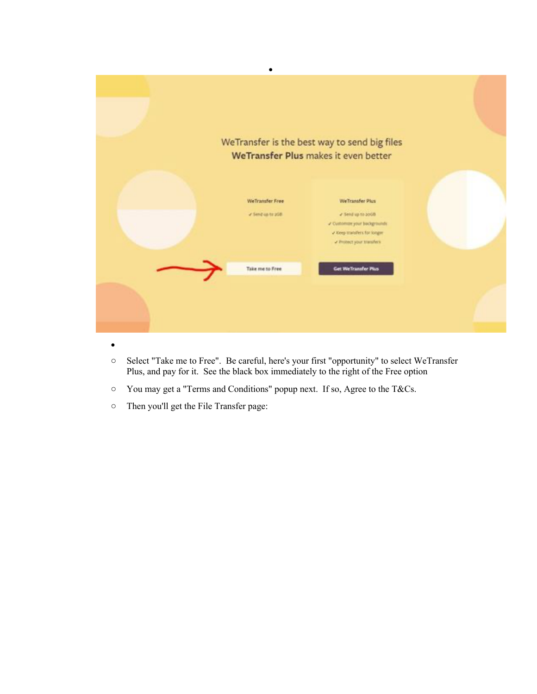|                                         | WeTransfer is the best way to send big files<br>WeTransfer Plus makes it even better                                             |  |
|-----------------------------------------|----------------------------------------------------------------------------------------------------------------------------------|--|
| We Transfer Free<br>V Sent us to politi | We'Transfer Plus<br># Send up to 2008<br>2 Customate your backgrounds<br>v Keep transfers for longer<br>v Protect your transfers |  |
| Take me to Free                         | <b>Get WeTransfer Plus</b>                                                                                                       |  |

- o Select "Take me to Free". Be careful, here's your first "opportunity" to select WeTransfer Plus, and pay for it. See the black box immediately to the right of the Free option
- o You may get a "Terms and Conditions" popup next. If so, Agree to the T&Cs.
- o Then you'll get the File Transfer page: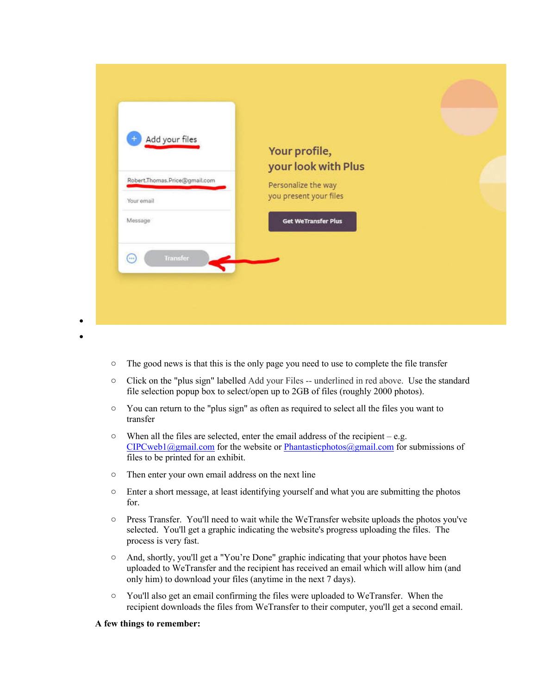| Add your files                |                                      |  |
|-------------------------------|--------------------------------------|--|
|                               | Your profile,<br>your look with Plus |  |
| Robert.Thomas.Price@gmail.com | Personalize the way                  |  |
| Your email                    | you present your files               |  |
| Message                       | Get WeTransfer Plus                  |  |
| Transfer<br>$(\cdots)$        |                                      |  |
|                               |                                      |  |

- o The good news is that this is the only page you need to use to complete the file transfer
- o Click on the "plus sign" labelled Add your Files -- underlined in red above. Use the standard file selection popup box to select/open up to 2GB of files (roughly 2000 photos).
- o You can return to the "plus sign" as often as required to select all the files you want to transfer
- $\circ$  When all the files are selected, enter the email address of the recipient e.g.  $CIPCweb1@gmail.com$  for the website or Phantasticphotos $@gmail.com$  for submissions of files to be printed for an exhibit.
- o Then enter your own email address on the next line
- o Enter a short message, at least identifying yourself and what you are submitting the photos for.
- o Press Transfer. You'll need to wait while the WeTransfer website uploads the photos you've selected. You'll get a graphic indicating the website's progress uploading the files. The process is very fast.
- o And, shortly, you'll get a "You're Done" graphic indicating that your photos have been uploaded to WeTransfer and the recipient has received an email which will allow him (and only him) to download your files (anytime in the next 7 days).
- o You'll also get an email confirming the files were uploaded to WeTransfer. When the recipient downloads the files from WeTransfer to their computer, you'll get a second email.

## **A few things to remember:**

• •